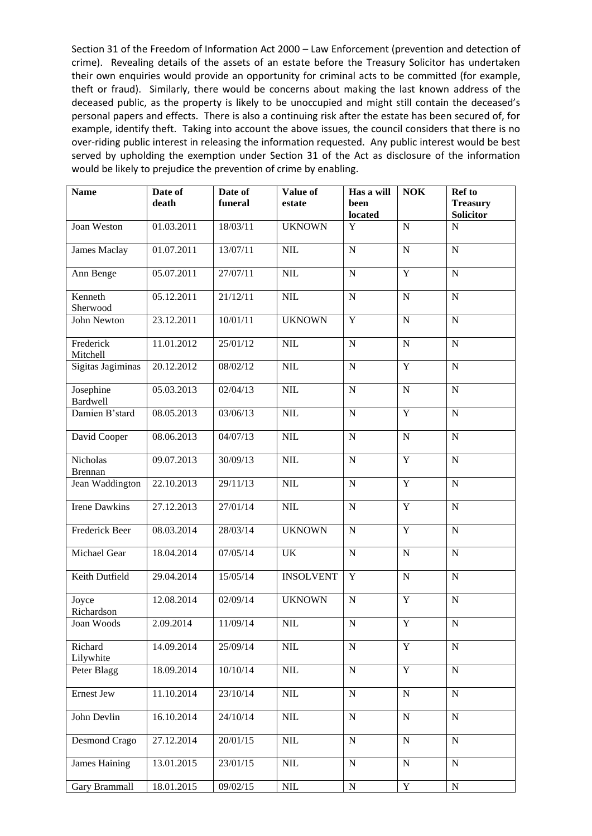Section 31 of the Freedom of Information Act 2000 – Law Enforcement (prevention and detection of crime). Revealing details of the assets of an estate before the Treasury Solicitor has undertaken their own enquiries would provide an opportunity for criminal acts to be committed (for example, theft or fraud). Similarly, there would be concerns about making the last known address of the deceased public, as the property is likely to be unoccupied and might still contain the deceased's personal papers and effects. There is also a continuing risk after the estate has been secured of, for example, identify theft. Taking into account the above issues, the council considers that there is no over-riding public interest in releasing the information requested. Any public interest would be best served by upholding the exemption under Section 31 of the Act as disclosure of the information would be likely to prejudice the prevention of crime by enabling.

| <b>Name</b>                | Date of<br>death | Date of<br>funeral | Value of<br>estate | Has a will<br>been<br>located | <b>NOK</b>     | Ref to<br><b>Treasury</b><br><b>Solicitor</b> |
|----------------------------|------------------|--------------------|--------------------|-------------------------------|----------------|-----------------------------------------------|
| Joan Weston                | 01.03.2011       | 18/03/11           | <b>UKNOWN</b>      | Y                             | $\mathbf N$    | $\overline{N}$                                |
| <b>James Maclay</b>        | 01.07.2011       | 13/07/11           | NIL                | ${\bf N}$                     | $\mathbf N$    | $\mathbf N$                                   |
| Ann Benge                  | 05.07.2011       | 27/07/11           | NIL                | $\mathbf N$                   | $\overline{Y}$ | ${\bf N}$                                     |
| Kenneth<br>Sherwood        | 05.12.2011       | 21/12/11           | <b>NIL</b>         | ${\bf N}$                     | $\mathbf N$    | ${\bf N}$                                     |
| John Newton                | 23.12.2011       | 10/01/11           | <b>UKNOWN</b>      | $\mathbf Y$                   | $\mathbf N$    | ${\bf N}$                                     |
| Frederick<br>Mitchell      | 11.01.2012       | 25/01/12           | NIL                | ${\bf N}$                     | $\mathbf N$    | ${\bf N}$                                     |
| Sigitas Jagiminas          | 20.12.2012       | 08/02/12           | <b>NIL</b>         | ${\bf N}$                     | $\mathbf Y$    | ${\bf N}$                                     |
| Josephine<br>Bardwell      | 05.03.2013       | 02/04/13           | $NIL$              | ${\bf N}$                     | ${\bf N}$      | ${\bf N}$                                     |
| Damien B'stard             | 08.05.2013       | 03/06/13           | <b>NIL</b>         | ${\bf N}$                     | Y              | ${\bf N}$                                     |
| David Cooper               | 08.06.2013       | 04/07/13           | <b>NIL</b>         | ${\bf N}$                     | $\mathbf N$    | ${\bf N}$                                     |
| Nicholas<br><b>Brennan</b> | 09.07.2013       | 30/09/13           | $NIL$              | ${\bf N}$                     | Y              | ${\bf N}$                                     |
| Jean Waddington            | 22.10.2013       | 29/11/13           | $NIL$              | ${\bf N}$                     | Y              | ${\bf N}$                                     |
| <b>Irene Dawkins</b>       | 27.12.2013       | 27/01/14           | <b>NIL</b>         | ${\bf N}$                     | $\overline{Y}$ | ${\bf N}$                                     |
| Frederick Beer             | 08.03.2014       | 28/03/14           | <b>UKNOWN</b>      | ${\bf N}$                     | Y              | ${\bf N}$                                     |
| Michael Gear               | 18.04.2014       | 07/05/14           | UK                 | ${\bf N}$                     | $\mathbf N$    | $\mathbf N$                                   |
| Keith Dutfield             | 29.04.2014       | 15/05/14           | <b>INSOLVENT</b>   | Y                             | $\mathbf N$    | ${\bf N}$                                     |
| Joyce<br>Richardson        | 12.08.2014       | 02/09/14           | <b>UKNOWN</b>      | ${\bf N}$                     | Y              | ${\bf N}$                                     |
| Joan Woods                 | 2.09.2014        | 11/09/14           | NIL                | ${\bf N}$                     | Y              | $\mathbf N$                                   |
| Richard<br>Lilywhite       | 14.09.2014       | 25/09/14           | NIL                | $\mathbf N$                   | $\mathbf Y$    | ${\bf N}$                                     |
| Peter Blagg                | 18.09.2014       | 10/10/14           | $NIL$              | ${\bf N}$                     | Y              | ${\bf N}$                                     |
| Ernest Jew                 | 11.10.2014       | 23/10/14           | $\text{NIL}$       | ${\bf N}$                     | ${\bf N}$      | ${\bf N}$                                     |
| John Devlin                | 16.10.2014       | 24/10/14           | $\text{NIL}$       | ${\bf N}$                     | ${\bf N}$      | $\mathbf N$                                   |
| Desmond Crago              | 27.12.2014       | 20/01/15           | $\text{NIL}$       | ${\bf N}$                     | N              | ${\bf N}$                                     |
| <b>James Haining</b>       | 13.01.2015       | 23/01/15           | $\text{NIL}$       | ${\bf N}$                     | ${\bf N}$      | ${\bf N}$                                     |
| Gary Brammall              | 18.01.2015       | 09/02/15           | $\mbox{NIL}$       | ${\bf N}$                     | $\mathbf Y$    | ${\bf N}$                                     |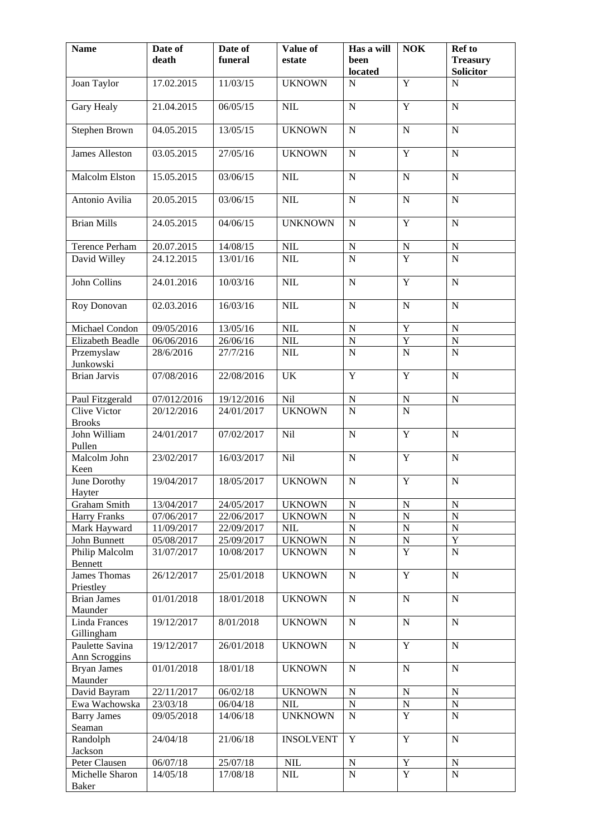| <b>Name</b>                          | Date of<br>death | Date of<br>funeral | Value of<br>estate | Has a will<br>been<br>located | <b>NOK</b>     | Ref to<br><b>Treasury</b><br><b>Solicitor</b> |
|--------------------------------------|------------------|--------------------|--------------------|-------------------------------|----------------|-----------------------------------------------|
| Joan Taylor                          | 17.02.2015       | 11/03/15           | <b>UKNOWN</b>      | ${\bf N}$                     | Y              | $\mathbf N$                                   |
| <b>Gary Healy</b>                    | 21.04.2015       | 06/05/15           | NIL                | $\overline{N}$                | $\overline{Y}$ | $\overline{N}$                                |
| <b>Stephen Brown</b>                 | 04.05.2015       | 13/05/15           | <b>UKNOWN</b>      | ${\bf N}$                     | $\mathbf N$    | $\mathbf N$                                   |
| <b>James Alleston</b>                | 03.05.2015       | 27/05/16           | <b>UKNOWN</b>      | ${\bf N}$                     | $\overline{Y}$ | $\mathbf N$                                   |
| Malcolm Elston                       | 15.05.2015       | 03/06/15           | NIL                | $\mathbf N$                   | $\overline{N}$ | $\overline{N}$                                |
| Antonio Avilia                       | 20.05.2015       | 03/06/15           | NIL                | ${\bf N}$                     | $\mathbf N$    | $\mathbf N$                                   |
| <b>Brian Mills</b>                   | 24.05.2015       | 04/06/15           | <b>UNKNOWN</b>     | ${\bf N}$                     | $\overline{Y}$ | ${\bf N}$                                     |
| Terence Perham                       | 20.07.2015       | 14/08/15           | $\mbox{NIL}$       | ${\bf N}$                     |                | ${\bf N}$                                     |
| David Willey                         | 24.12.2015       | 13/01/16           | NIL                | $\overline{\rm N}$            | $\frac{N}{Y}$  | $\overline{N}$                                |
| John Collins                         | 24.01.2016       | 10/03/16           | $NIL$              | $\mathbf N$                   | Y              | $\mathbf N$                                   |
| Roy Donovan                          | 02.03.2016       | 16/03/16           | NIL                | ${\bf N}$                     | ${\bf N}$      | ${\bf N}$                                     |
| Michael Condon                       | 09/05/2016       | 13/05/16           | $NIL$              | ${\bf N}$                     | Y              | ${\bf N}$                                     |
| Elizabeth Beadle                     | 06/06/2016       | 26/06/16           | $NIL$              | $\overline{N}$                | $\overline{Y}$ | ${\bf N}$                                     |
| Przemyslaw<br>Junkowski              | 28/6/2016        | 27/7/216           | $NIL$              | $\overline{N}$                | $\overline{N}$ | $\mathbf N$                                   |
| <b>Brian Jarvis</b>                  | 07/08/2016       | 22/08/2016         | UK                 | $\mathbf Y$                   | $\mathbf Y$    | $\mathbf N$                                   |
| Paul Fitzgerald                      | 07/012/2016      | 19/12/2016         | Nil                | ${\bf N}$                     | ${\bf N}$      | ${\bf N}$                                     |
| <b>Clive Victor</b><br><b>Brooks</b> | 20/12/2016       | 24/01/2017         | <b>UKNOWN</b>      | $\overline{N}$                | $\overline{N}$ |                                               |
| John William<br>Pullen               | 24/01/2017       | 07/02/2017         | Nil                | ${\bf N}$                     | $\overline{Y}$ | $\mathbf N$                                   |
| Malcolm John<br>Keen                 | 23/02/2017       | 16/03/2017         | Nil                | $\mathbf N$                   | Y              | $\mathbf N$                                   |
| June Dorothy<br>Hayter               | 19/04/2017       | 18/05/2017         | <b>UKNOWN</b>      | ${\bf N}$                     | $\overline{Y}$ | ${\bf N}$                                     |
| Graham Smith                         | 13/04/2017       | 24/05/2017         | <b>UKNOWN</b>      | ${\bf N}$                     | $\mathbf N$    | $\mathbf N$                                   |
| <b>Harry Franks</b>                  | 07/06/2017       | 22/06/2017         | <b>UKNOWN</b>      | $\overline{N}$                | $\overline{N}$ | $\overline{N}$                                |
| Mark Hayward                         | 11/09/2017       | 22/09/2017         | <b>NIL</b>         | $\mathbf N$                   | $\mathbf N$    | $\mathbf N$                                   |
| John Bunnett                         | 05/08/2017       | 25/09/2017         | <b>UKNOWN</b>      | ${\bf N}$                     | ${\bf N}$      | $\overline{Y}$                                |
| Philip Malcolm<br>Bennett            | 31/07/2017       | 10/08/2017         | <b>UKNOWN</b>      | $\overline{N}$                | $\overline{Y}$ | $\overline{N}$                                |
| James Thomas<br>Priestley            | 26/12/2017       | 25/01/2018         | <b>UKNOWN</b>      | ${\bf N}$                     | Y              | $\mathbf N$                                   |
| <b>Brian James</b><br>Maunder        | 01/01/2018       | 18/01/2018         | <b>UKNOWN</b>      | ${\bf N}$                     | $\mathbf N$    | ${\bf N}$                                     |
| Linda Frances<br>Gillingham          | 19/12/2017       | 8/01/2018          | <b>UKNOWN</b>      | ${\bf N}$                     | $\mathbf N$    | $\mathbf N$                                   |
| Paulette Savina<br>Ann Scroggins     | 19/12/2017       | 26/01/2018         | <b>UKNOWN</b>      | ${\bf N}$                     | $\mathbf Y$    | ${\bf N}$                                     |
| <b>Bryan James</b><br>Maunder        | 01/01/2018       | 18/01/18           | <b>UKNOWN</b>      | ${\bf N}$                     | ${\bf N}$      | ${\bf N}$                                     |
| David Bayram                         | 22/11/2017       | 06/02/18           | <b>UKNOWN</b>      | ${\bf N}$                     | $\mathbf N$    | ${\bf N}$                                     |
| Ewa Wachowska                        | 23/03/18         | 06/04/18           | <b>NIL</b>         | ${\bf N}$                     | ${\bf N}$      | ${\bf N}$                                     |
| <b>Barry James</b><br>Seaman         | 09/05/2018       | 14/06/18           | <b>UNKNOWN</b>     | ${\bf N}$                     | $\overline{Y}$ | $\mathbf N$                                   |
| Randolph<br>Jackson                  | 24/04/18         | 21/06/18           | <b>INSOLVENT</b>   | $\mathbf Y$                   | $\mathbf Y$    | $\mathbf N$                                   |
| Peter Clausen                        | 06/07/18         | 25/07/18           | <b>NIL</b>         | ${\bf N}$                     | $\mathbf Y$    | ${\bf N}$                                     |
| Michelle Sharon<br><b>Baker</b>      | 14/05/18         | 17/08/18           | NIL                | $\overline{N}$                | $\mathbf Y$    | ${\bf N}$                                     |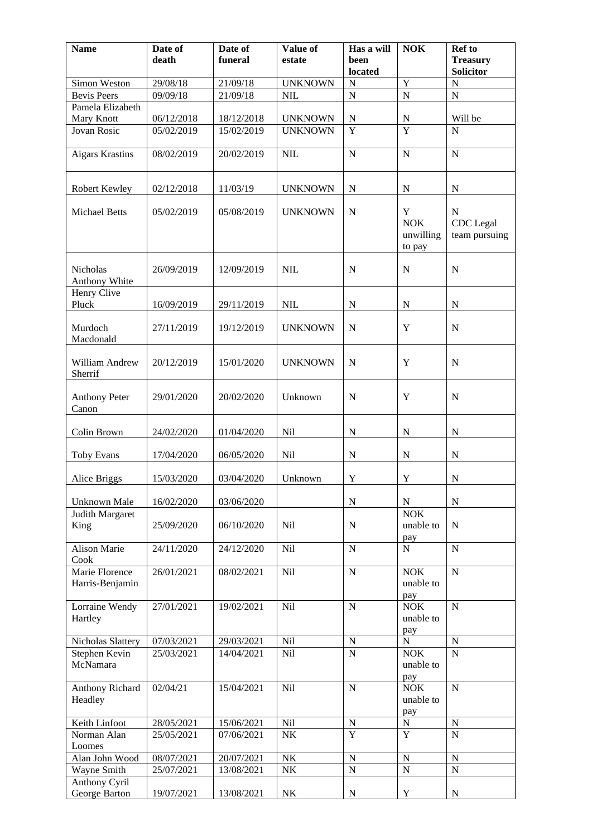| <b>Name</b>                            | Date of<br>death | Date of<br>funeral | Value of<br>estate | Has a will<br>been | NOK                                              | <b>Ref</b> to<br><b>Treasury</b>        |
|----------------------------------------|------------------|--------------------|--------------------|--------------------|--------------------------------------------------|-----------------------------------------|
|                                        |                  |                    |                    | located            |                                                  | <b>Solicitor</b>                        |
| Simon Weston                           | 29/08/18         | 21/09/18           | <b>UNKNOWN</b>     | ${\bf N}$          | $\mathbf Y$                                      | ${\bf N}$                               |
| <b>Bevis Peers</b><br>Pamela Elizabeth | 09/09/18         | 21/09/18           | <b>NIL</b>         | $\overline{N}$     | $\overline{N}$                                   | ${\bf N}$                               |
| Mary Knott                             | 06/12/2018       | 18/12/2018         | <b>UNKNOWN</b>     | ${\bf N}$          | $\mathbf N$                                      | Will be                                 |
| Jovan Rosic                            | 05/02/2019       | 15/02/2019         | <b>UNKNOWN</b>     | Y                  | Y                                                | N                                       |
|                                        |                  |                    |                    |                    |                                                  |                                         |
| <b>Aigars Krastins</b>                 | 08/02/2019       | 20/02/2019         | $NIL$              | ${\bf N}$          | ${\bf N}$                                        | ${\bf N}$                               |
| Robert Kewley                          | 02/12/2018       | 11/03/19           | <b>UNKNOWN</b>     | ${\bf N}$          | ${\bf N}$                                        | ${\bf N}$                               |
| <b>Michael Betts</b>                   | 05/02/2019       | 05/08/2019         | <b>UNKNOWN</b>     | ${\bf N}$          | $\mathbf Y$<br><b>NOK</b><br>unwilling<br>to pay | ${\bf N}$<br>CDC Legal<br>team pursuing |
| Nicholas<br>Anthony White              | 26/09/2019       | 12/09/2019         | NIL                | $\mathbf N$        | $\mathbf N$                                      | $\mathbf N$                             |
| Henry Clive<br>Pluck                   | 16/09/2019       | 29/11/2019         | $NIL$              | ${\bf N}$          | ${\bf N}$                                        | ${\bf N}$                               |
| Murdoch<br>Macdonald                   | 27/11/2019       | 19/12/2019         | <b>UNKNOWN</b>     | $\mathbf N$        | $\mathbf Y$                                      | ${\bf N}$                               |
| William Andrew<br>Sherrif              | 20/12/2019       | 15/01/2020         | <b>UNKNOWN</b>     | ${\bf N}$          | Y                                                | ${\bf N}$                               |
| <b>Anthony Peter</b><br>Canon          | 29/01/2020       | 20/02/2020         | Unknown            | $\mathbf N$        | Y                                                | $\mathbf N$                             |
| Colin Brown                            | 24/02/2020       | 01/04/2020         | Nil                | ${\bf N}$          | ${\bf N}$                                        | ${\bf N}$                               |
| Toby Evans                             | 17/04/2020       | 06/05/2020         | Nil                | ${\bf N}$          | ${\bf N}$                                        | ${\bf N}$                               |
| Alice Briggs                           | 15/03/2020       | 03/04/2020         | Unknown            | $\mathbf Y$        | $\mathbf Y$                                      | ${\bf N}$                               |
| Unknown Male                           | 16/02/2020       | 03/06/2020         |                    | ${\bf N}$          | ${\bf N}$                                        | $\mathbf N$                             |
| Judith Margaret<br>King                | 25/09/2020       | 06/10/2020         | <b>Nil</b>         | $\mathbf N$        | <b>NOK</b><br>unable to<br>pay                   | $\mathbf N$                             |
| <b>Alison Marie</b><br>Cook            | 24/11/2020       | 24/12/2020         | Nil                | ${\bf N}$          | $\mathbf N$                                      | ${\bf N}$                               |
| Marie Florence<br>Harris-Benjamin      | 26/01/2021       | 08/02/2021         | Nil                | ${\bf N}$          | <b>NOK</b><br>unable to<br>pay                   | ${\bf N}$                               |
| Lorraine Wendy<br>Hartley              | 27/01/2021       | 19/02/2021         | Nil                | ${\bf N}$          | <b>NOK</b><br>unable to<br>pay                   | $\mathbf N$                             |
| Nicholas Slattery                      | 07/03/2021       | 29/03/2021         | Nil                | ${\bf N}$          | ${\bf N}$                                        | $\mathbf N$                             |
| Stephen Kevin<br>McNamara              | 25/03/2021       | 14/04/2021         | Nil                | $\overline{N}$     | <b>NOK</b><br>unable to<br>pay                   | $\overline{N}$                          |
| Anthony Richard<br>Headley             | 02/04/21         | 15/04/2021         | Nil                | ${\bf N}$          | <b>NOK</b><br>unable to<br>pay                   | $\mathbf N$                             |
| Keith Linfoot                          | 28/05/2021       | 15/06/2021         | Nil                | ${\bf N}$          | ${\bf N}$                                        | ${\bf N}$                               |
| Norman Alan<br>Loomes                  | 25/05/2021       | 07/06/2021         | $N\mathrm{K}$      | Y                  | Y                                                | $\mathbf N$                             |
| Alan John Wood                         | 08/07/2021       | 20/07/2021         | $\rm N K$          | ${\bf N}$          | $\mathbf N$                                      | $\mathbf N$                             |
| Wayne Smith                            | 25/07/2021       | 13/08/2021         | $\rm N K$          | ${\bf N}$          | ${\bf N}$                                        | ${\bf N}$                               |
| Anthony Cyril<br>George Barton         | 19/07/2021       | 13/08/2021         | ${\rm N}{\rm K}$   | ${\bf N}$          | $\mathbf Y$                                      | ${\bf N}$                               |